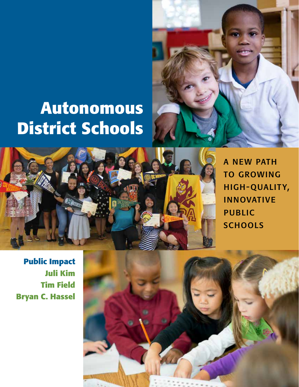# **Autonomous District Schools**





a new path to growing high-quality, innovative public **SCHOOLS** 

**Public Impact Juli Kim Tim Field Bryan C. Hassel**

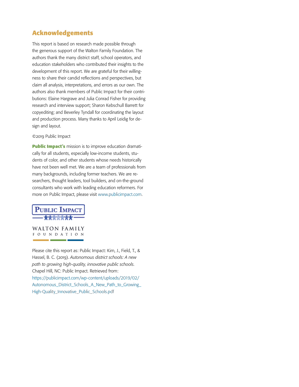## **Acknowledgements**

This report is based on research made possible through the generous support of the Walton Family Foundation. The authors thank the many district staff, school operators, and education stakeholders who contributed their insights to the development of this report. We are grateful for their willingness to share their candid reflections and perspectives, but claim all analysis, interpretations, and errors as our own. The authors also thank members of Public Impact for their contributions: Elaine Hargrave and Julia Conrad Fisher for providing research and interview support; Sharon Kebschull Barrett for copyediting; and Beverley Tyndall for coordinating the layout and production process. Many thanks to April Leidig for design and layout.

©2019 Public Impact

**Public Impact's** mission is to improve education dramatically for all students, especially low-income students, students of color, and other students whose needs historically have not been well met. We are a team of professionals from many backgrounds, including former teachers. We are researchers, thought leaders, tool builders, and on-the-ground consultants who work with leading education reformers. For more on Public Impact, please visit [www.publicimpact.com](http://www.publicimpact.com).



**WALTON FAMILY** FOUNDATION

Please cite this report as: Public Impact: Kim, J., Field, T., & Hassel, B. C. (2019). *Autonomous district schools: A new path to growing high-quality, innovative public schools*. Chapel Hill, NC: Public Impact. Retrieved from: https://publicimpact.com/wp-content/uploads/2019/02/ [Autonomous\\_District\\_Schools\\_A\\_New\\_Path\\_to\\_Growing\\_](https://publicimpact.com/wp-content/uploads/2019/02/Autonomous_District_Schools_A_New_Path_to_Growing_High-Quality_Innovative_Public_Schools.pdf) High-Quality\_Innovative\_Public\_Schools.pdf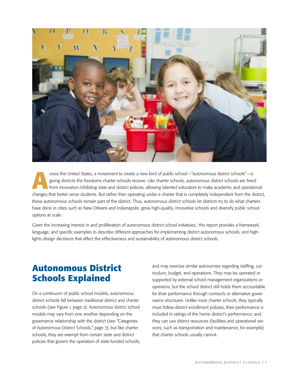

cross the United States, a movement to create a new kind of public school—"autonomous district schools"—is giving districts the freedoms charter schools receive. Like charter schools, autonomous district schools are freedo giving districts the freedoms charter schools receive. Like charter schools, autonomous district schools are freed from innovation-inhibiting state and district policies, allowing talented educators to make academic and operational changes that better serve students. But rather than operating under a charter that is completely independent from the district, these autonomous schools remain part of the district. Thus, autonomous district schools let districts try to do what charters have done in cities such as New Orleans and Indianapolis: grow high-quality, innovative schools and diversify public school options at scale.

Given the increasing interest in and proliferation of autonomous district school initiatives,<sup>1</sup> this report provides a framework, language, and specific examples to describe different approaches for implementing district autonomous schools; and highlights design decisions that affect the effectiveness and sustainability of autonomous district schools.

## **Autonomous District Schools Explained**

On a continuum of public school models, autonomous district schools fall between traditional district and charter schools (see Figure 1, page 2). Autonomous district school models may vary from one another depending on the governance relationship with the district (see "Categories of Autonomous District Schools," page 7), but like charter schools, they are exempt from certain state and district policies that govern the operation of state-funded schools,

and may exercise similar autonomies regarding staffing, curriculum, budget, and operations. They may be operated or supported by external school management organizations or operators, but the school district still holds them accountable for their performance through contracts or alternative governance structures. Unlike most charter schools, they typically must follow district enrollment policies; their performance is included in ratings of the home district's performance; and they can use district resources (facilities and operational services, such as transportation and maintenance, for example) that charter schools usually cannot.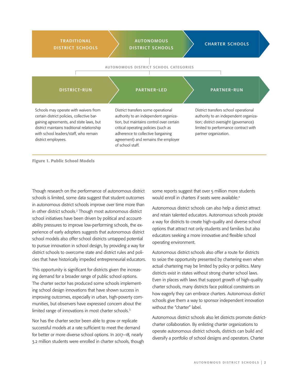| <b>TRADITIONAL</b><br><b>DISTRICT SCHOOLS</b>                                                                                                                                                                                                 | <b>AUTONOMOUS</b><br><b>DISTRICT SCHOOLS</b>                                                                                                                                                                                                                      | <b>CHARTER SCHOOLS</b>                                                                                                                                                                   |
|-----------------------------------------------------------------------------------------------------------------------------------------------------------------------------------------------------------------------------------------------|-------------------------------------------------------------------------------------------------------------------------------------------------------------------------------------------------------------------------------------------------------------------|------------------------------------------------------------------------------------------------------------------------------------------------------------------------------------------|
|                                                                                                                                                                                                                                               | AUTONOMOUS DISTRICT SCHOOL CATEGORIES                                                                                                                                                                                                                             |                                                                                                                                                                                          |
| <b>DISTRICT-RUN</b>                                                                                                                                                                                                                           | <b>PARTNER-LED</b>                                                                                                                                                                                                                                                | <b>PARTNER-RUN</b>                                                                                                                                                                       |
| Schools may operate with waivers from<br>certain district policies, collective bar-<br>gaining agreements, and state laws, but<br>district maintains traditional relationship<br>with school leaders/staff, who remain<br>district employees. | District transfers some operational<br>authority to an independent organiza-<br>tion, but maintains control over certain<br>critical operating policies (such as<br>adherence to collective bargaining<br>agreement) and remains the employer<br>of school staff. | District transfers school operational<br>authority to an independent organiza-<br>tion; district oversight (governance)<br>limited to performance contract with<br>partner organization. |

**Figure 1. Public School Models**

Though research on the performance of autonomous district schools is limited, some data suggest that student outcomes in autonomous district schools improve over time more than in other district schools.2 Though most autonomous district school initiatives have been driven by political and accountability pressures to improve low-performing schools, the experience of early adopters suggests that autonomous district school models also offer school districts untapped potential to pursue innovation in school design, by providing a way for district schools to overcome state and district rules and policies that have historically impeded entrepreneurial educators.

This opportunity is significant for districts given the increasing demand for a broader range of public school options. The charter sector has produced some schools implementing school design innovations that have shown success in improving outcomes, especially in urban, high-poverty communities, but observers have expressed concern about the limited range of innovations in most charter schools.<sup>3</sup>

Nor has the charter sector been able to grow or replicate successful models at a rate sufficient to meet the demand for better or more diverse school options. In 2017–18, nearly 3.2 million students were enrolled in charter schools, though some reports suggest that over 5 million more students would enroll in charters if seats were available.<sup>4</sup>

Autonomous district schools can also help a district attract and retain talented educators. Autonomous schools provide a way for districts to create high-quality and diverse school options that attract not only students and families but also educators seeking a more innovative and flexible school operating environment.

Autonomous district schools also offer a route for districts to seize the opportunity presented by chartering even when actual chartering may be limited by policy or politics. Many districts exist in states without strong charter school laws. Even in places with laws that support growth of high-quality charter schools, many districts face political constraints on how eagerly they can embrace charters. Autonomous district schools give them a way to sponsor independent innovation without the "charter" label.

Autonomous district schools also let districts promote districtcharter collaboration. By enlisting charter organizations to operate autonomous district schools, districts can build and diversify a portfolio of school designs and operators. Charter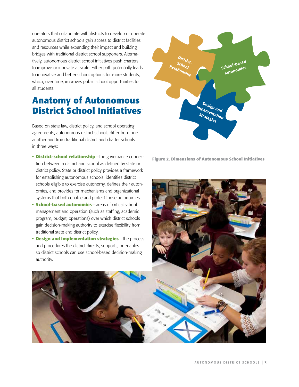operators that collaborate with districts to develop or operate autonomous district schools gain access to district facilities and resources while expanding their impact and building bridges with traditional district school supporters. Alternatively, autonomous district school initiatives push charters to improve or innovate at scale. Either path potentially leads to innovative and better school options for more students, which, over time, improves public school opportunities for all students.

# **Anatomy of Autonomous District School Initiatives**<sup>5</sup>

Based on state law, district policy, and school operating agreements, autonomous district schools differ from one another and from traditional district and charter schools in three ways:

**• District-school relationship**—the governance connection between a district and school as defined by state or district policy. State or district policy provides a framework for establishing autonomous schools, identifies district schools eligible to exercise autonomy, defines their autonomies, and provides for mechanisms and organizational systems that both enable and protect those autonomies.



**Figure 2. Dimensions of Autonomous School Initiatives**

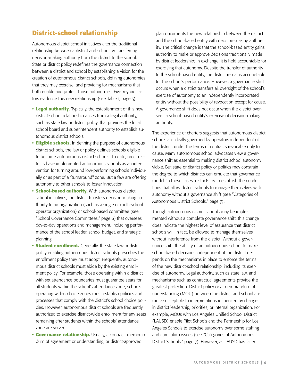#### **District-school relationship**

Autonomous district school initiatives alter the traditional relationship between a district and school by transferring decision-making authority from the district to the school. State or district policy redefines the governance connection between a district and school by establishing a vision for the creation of autonomous district schools, defining autonomies that they may exercise, and providing for mechanisms that both enable and protect those autonomies. Five key indicators evidence this new relationship (see Table 1, page 5):

- **Legal authority.** Typically, the establishment of this new district-school relationship arises from a legal authority, such as state law or district policy, that provides the local school board and superintendent authority to establish autonomous district schools.
- **Eligible schools.** In defining the purpose of autonomous district schools, the law or policy defines schools eligible to become autonomous district schools. To date, most districts have implemented autonomous schools as an intervention for turning around low-performing schools individually or as part of a "turnaround" zone. But a few are offering autonomy to other schools to foster innovation.
- **School-based authority.** With autonomous district school initiatives, the district transfers decision-making authority to an organization (such as a single or multi-school operator organization) or school-based committee (see "School Governance Committees," page 6) that oversees day-to-day operations and management, including performance of the school leader, school budget, and strategic planning.
- **Student enrollment.** Generally, the state law or district policy enabling autonomous district schools prescribes the enrollment policy they must adopt. Frequently, autonomous district schools must abide by the existing enrollment policy. For example, those operating within a district with set attendance boundaries must guarantee seats for all students within the school's attendance zone; schools operating within choice zones must establish policies and processes that comply with the district's school choice policies. However, autonomous district schools are frequently authorized to exercise district-wide enrollment for any seats remaining after students within the schools' attendance zone are served.
- **Governance relationship.** Usually, a contract, memorandum of agreement or understanding, or district-approved

plan documents the new relationship between the district and the school-based entity with decision-making authority. The critical change is that the school-based entity gains authority to make or approve decisions traditionally made by district leadership; in exchange, it is held accountable for exercising that autonomy. Despite the transfer of authority to the school-based entity, the district remains accountable for the school's performance. However, a governance shift occurs when a district transfers all oversight of the school's exercise of autonomy to an independently incorporated entity without the possibility of revocation except for cause. A governance shift does not occur when the district oversees a school-based entity's exercise of decision-making authority.

The experience of charters suggests that autonomous district schools are ideally governed by operators independent of the district, under the terms of contracts revocable only for cause. Many autonomous school advocates view a governance shift as essential to making district school autonomy viable. But state or district policy or politics may constrain the degree to which districts can emulate that governance model. In these cases, districts try to establish the conditions that allow district schools to manage themselves with autonomy without a governance shift (see "Categories of Autonomous District Schools," page 7).

Though autonomous district schools may be implemented without a complete governance shift, this change does indicate the highest level of assurance that district schools will, in fact, be allowed to manage themselves without interference from the district. Without a governance shift, the ability of an autonomous school to make school-based decisions independent of the district depends on the mechanisms in place to enforce the terms of the new district-school relationship, including its exercise of autonomy. Legal authority, such as state law, and mechanisms such as contractual agreements provide the greatest protection. District policy or a memorandum of understanding (MOU) between the district and school are more susceptible to interpretations influenced by changes in district leadership, priorities, or internal organization. For example, MOUs with Los Angeles Unified School District (LAUSD) enable Pilot Schools and the Partnership for Los Angeles Schools to exercise autonomy over some staffing and curriculum issues (see "Categories of Autonomous District Schools," page 7). However, as LAUSD has faced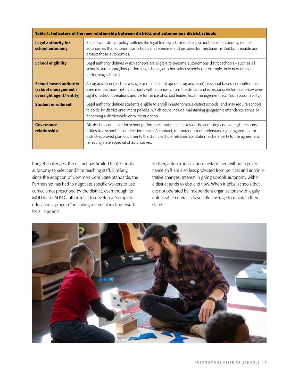| Table 1. Indicators of the new relationship between districts and autonomous district schools |                                                                                                                                                                                                                                                                                                                                                                          |  |
|-----------------------------------------------------------------------------------------------|--------------------------------------------------------------------------------------------------------------------------------------------------------------------------------------------------------------------------------------------------------------------------------------------------------------------------------------------------------------------------|--|
| <b>Legal authority for</b><br>school autonomy                                                 | State law or district policy outlines the legal framework for enabling school-based autonomy, defines<br>autonomies that autonomous schools may exercise, and provides for mechanisms that both enable and<br>protect those autonomies.                                                                                                                                  |  |
| <b>School eligibility</b>                                                                     | Legal authority defines which schools are eligible to become autonomous district schools—such as all<br>schools, turnaround/low-performing schools, or other select schools (for example, only new or high<br>performing schools).                                                                                                                                       |  |
| <b>School-based authority</b><br>(school management /<br>oversight agent/entity)              | An organization (such as a single or multi-school operator organization) or school-based committee that<br>exercises decision-making authority with autonomy from the district and is responsible for day-to-day over-<br>sight of school operations and performance of school leader, fiscal management, etc. (not accountability).                                     |  |
| <b>Student enrollment</b>                                                                     | Legal authority defines students eligible to enroll in autonomous district schools, and may require schools<br>to abide by district enrollment policies, which could include maintaining geographic attendance zones or<br>becoming a district-wide enrollment option.                                                                                                   |  |
| Governance<br>relationship                                                                    | District is accountable for school performance but transfers key decision-making and oversight responsi-<br>bilities to a school-based decision maker. A contract, memorandum of understanding or agreement, or<br>district-approved plan documents the district-school relationship. State may be a party to the agreement,<br>reflecting state approval of autonomies. |  |

budget challenges, the district has limited Pilot Schools' autonomy to select and hire teaching staff. Similarly, since the adoption of Common Core State Standards, the Partnership has had to negotiate specific waivers to use curricula not prescribed by the district, even though its MOU with LAUSD authorizes it to develop a "complete educational program" including a curriculum framework for all students.

Further, autonomous schools established without a governance shift are also less protected from political and administrative changes. Interest in giving schools autonomy within a district tends to ebb and flow. When it ebbs, schools that are not operated by independent organizations with legally enforceable contracts have little leverage to maintain their status.

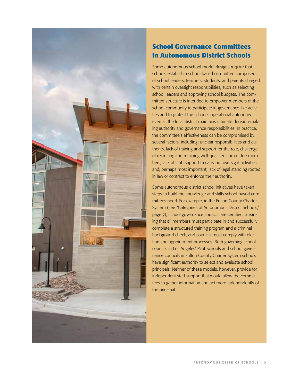

## **School Governance Committees in Autonomous District Schools**

Some autonomous school model designs require that schools establish a school-based committee composed of school leaders, teachers, students, and parents charged with certain oversight responsibilities, such as selecting school leaders and approving school budgets. The committee structure is intended to empower members of the school community to participate in governance-like activities and to protect the school's operational autonomy, even as the local district maintains ultimate decision-making authority and governance responsibilities. In practice, the committee's effectiveness can be compromised by several factors, including: unclear responsibilities and authority, lack of training and support for the role, challenge of recruiting and retaining well-qualified committee members, lack of staff support to carry out oversight activities, and, perhaps most important, lack of legal standing rooted in law or contract to enforce their authority.

Some autonomous district school initiatives have taken steps to build the knowledge and skills school-based committees need. For example, in the Fulton County Charter System (see "Categories of Autonomous District Schools," page 7), school governance councils are certified, meaning that all members must participate in and successfully complete a structured training program and a criminal background check, and councils must comply with election and appointment processes. Both governing school councils in Los Angeles' Pilot Schools and school governance councils in Fulton County Charter System schools have significant authority to select and evaluate school principals. Neither of these models, however, provide for independent staff support that would allow the committees to gather information and act more independently of the principal.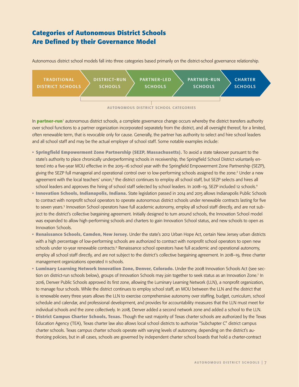## **Categories of Autonomous District Schools Are Defined by their Governance Model**

Autonomous district school models fall into three categories based primarily on the district-school governance relationship.



autonomous district school categories

In **partner-run**1 autonomous district schools, a complete governance change occurs whereby the district transfers authority over school functions to a partner organization incorporated separately from the district, and all oversight thereof, for a limited, often renewable term, that is revocable only for cause. Generally, the partner has authority to select and hire school leaders and all school staff and may be the actual employer of school staff. Some notable examples include:

- **Springfield Empowerment Zone Partnership (SEZP, Massachusetts).** To avoid a state takeover pursuant to the state's authority to place chronically underperforming schools in receivership, the Springfield School District voluntarily entered into a five-year MOU effective in the 2015–16 school year with the Springfield Empowerment Zone Partnership (SEZP), giving the SEZP full managerial and operational control over 10 low-performing schools assigned to the zone.2 Under a new agreement with the local teachers' union,<sup>3</sup> the district continues to employ all school staff, but SEZP selects and hires all school leaders and approves the hiring of school staff selected by school leaders. In 2018–19, SEZP included 12 schools.<sup>4</sup>
- **Innovation Schools, Indianapolis, Indiana.** State legislation passed in 2014 and 2015 allows Indianapolis Public Schools to contract with nonprofit school operators to operate autonomous district schools under renewable contracts lasting for five to seven years.<sup>5</sup> Innovation School operators have full academic autonomy, employ all school staff directly, and are not subject to the district's collective bargaining agreement. Initially designed to turn around schools, the Innovation School model was expanded to allow high-performing schools and charters to gain Innovation School status, and new schools to open as Innovation Schools.
- **Renaissance Schools, Camden, New Jersey.** Under the state's 2012 Urban Hope Act, certain New Jersey urban districts with a high percentage of low-performing schools are authorized to contract with nonprofit school operators to open new schools under 10-year renewable contracts.<sup>6</sup> Renaissance school operators have full academic and operational autonomy, employ all school staff directly, and are not subject to the district's collective bargaining agreement. In 2018–19, three charter management organizations operated 11 schools.
- **Luminary Learning Network Innovation Zone, Denver, Colorado.** Under the 2008 Innovation Schools Act (see section on district-run schools below), groups of Innovation Schools may join together to seek status as an Innovation Zone.<sup>7</sup> In 2016, Denver Public Schools approved its first zone, allowing the Luminary Learning Network (LLN), a nonprofit organization, to manage four schools. While the district continues to employ school staff, an MOU between the LLN and the district that is renewable every three years allows the LLN to exercise comprehensive autonomy over staffing, budget, curriculum, school schedule and calendar, and professional development, and provides for accountability measures that the LLN must meet for individual schools and the zone collectively. In 2018, Denver added a second network zone and added a school to the LLN.
- **District Campus Charter Schools, Texas.** Though the vast majority of Texas charter schools are authorized by the Texas Education Agency (TEA), Texas charter law also allows local school districts to authorize "Subchapter C" district campus charter schools. Texas campus charter schools operate with varying levels of autonomy, depending on the district's authorizing policies, but in all cases, schools are governed by independent charter school boards that hold a charter-contract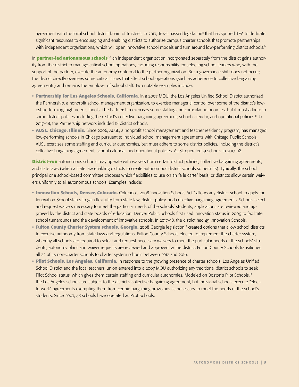agreement with the local school district board of trustees. In 2017, Texas passed legislation<sup>8</sup> that has spurred TEA to dedicate significant resources to encouraging and enabling districts to authorize campus charter schools that promote partnerships with independent organizations, which will open innovative school models and turn around low-performing district schools.<sup>9</sup>

In **partner-led autonomous schools**,<sup>10</sup> an independent organization incorporated separately from the district gains authority from the district to manage critical school operations, including responsibility for selecting school leaders who, with the support of the partner, execute the autonomy conferred to the partner organization. But a governance shift does not occur; the district directly oversees some critical issues that affect school operations (such as adherence to collective bargaining agreements) and remains the employer of school staff. Two notable examples include:

- **Partnership for Los Angeles Schools, California.** In a 2007 MOU, the Los Angeles Unified School District authorized the Partnership, a nonprofit school management organization, to exercise managerial control over some of the district's lowest-performing, high-need schools. The Partnership exercises some staffing and curricular autonomies, but it must adhere to some district policies, including the district's collective bargaining agreement, school calendar, and operational policies.<sup>11</sup> In 2017–18, the Partnership network included 18 district schools.
- **AUSL, Chicago, Illinois.** Since 2006, AUSL, a nonprofit school management and teacher residency program, has managed low-performing schools in Chicago pursuant to individual school management agreements with Chicago Public Schools. AUSL exercises some staffing and curricular autonomies, but must adhere to some district policies, including the district's collective bargaining agreement, school calendar, and operational policies. AUSL operated 31 schools in 2017–18.

**District-run** autonomous schools may operate with waivers from certain district policies, collective bargaining agreements, and state laws (when a state law enabling districts to create autonomous district schools so permits). Typically, the school principal or a school-based committee chooses which flexibilities to use on an "a la carte" basis, or districts allow certain waivers uniformly to all autonomous schools. Examples include:

- Innovation Schools, Denver, Colorado. Colorado's 2008 Innovation Schools Act<sup>12</sup> allows any district school to apply for Innovation School status to gain flexibility from state law, district policy, and collective bargaining agreements. Schools select and request waivers necessary to meet the particular needs of the schools' students; applications are reviewed and approved by the district and state boards of education. Denver Public Schools first used innovation status in 2009 to facilitate school turnarounds and the development of innovative schools. In 2017–18, the district had 49 Innovation Schools.
- **Fulton County Charter System schools, Georgia.** 2008 Georgia legislation<sup>13</sup> created options that allow school districts to exercise autonomy from state laws and regulations. Fulton County Schools elected to implement the charter system, whereby all schools are required to select and request necessary waivers to meet the particular needs of the schools' students; autonomy plans and waiver requests are reviewed and approved by the district. Fulton County Schools transitioned all 22 of its non-charter schools to charter system schools between 2012 and 2016.
- **Pilot Schools, Los Angeles, California.** In response to the growing presence of charter schools, Los Angeles Unified School District and the local teachers' union entered into a 2007 MOU authorizing any traditional district schools to seek Pilot School status, which gives them certain staffing and curricular autonomies. Modeled on Boston's Pilot Schools,<sup>14</sup> the Los Angeles schools are subject to the district's collective bargaining agreement, but individual schools execute "electto-work" agreements exempting them from certain bargaining provisions as necessary to meet the needs of the school's students. Since 2007, 48 schools have operated as Pilot Schools.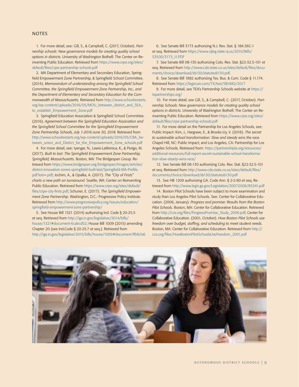#### **NOTES**

1. For more detail, see: Gill, S., & Campbell, C. (2017, October). *Partnership schools: New governance models for creating quality school options in districts*. University of Washington Bothell: The Center on Reinventing Public Education. Retrieved from [https://www.crpe.org/sites/](https://www.crpe.org/sites/default/files/crpe-partnership-schools.pdf) [default/files/crpe-partnership-schools.pdf](https://www.crpe.org/sites/default/files/crpe-partnership-schools.pdf)

2. MA Department of Elementary and Secondary Education, Springfield Empowerment Zone Partnership, & Springfield School Committee. (2014). *Memorandum of understanding among the Springfield School Committee, the Springfield Empowerment Zone Partnership, Inc., and the Department of Elementary and Secondary Education for the Commonwealth of Massachusetts.* Retrieved from [http://www.schoolrestarts.](http://www.schoolrestarts.org/wp-content/uploads/2016/05/MOU_between_district_and_SEA_to_establish_Empowerment_Zone.pdf) [org/wp-content/uploads/2016/05/MOU\\_between\\_district\\_and\\_SEA\\_](http://www.schoolrestarts.org/wp-content/uploads/2016/05/MOU_between_district_and_SEA_to_establish_Empowerment_Zone.pdf) [to\\_establish\\_Empowerment\\_Zone.pdf](http://www.schoolrestarts.org/wp-content/uploads/2016/05/MOU_between_district_and_SEA_to_establish_Empowerment_Zone.pdf)

3. Springfield Education Association & Springfield School Committee. (2016). *Agreement between the Springfield Education Association and the Springfield School Committee for the Springfield Empowerment Zone Partnership Schools, July 1-2016-June 30, 2018*. Retrieved from [http://www.schoolrestarts.org/wp-content/uploads/2016/05/CBA\\_be](http://www.schoolrestarts.org/wp-content/uploads/2016/05/CBA_between_union_and_District_for_the_Empowerment_Zone_schools.pdf)[tween\\_union\\_and\\_District\\_for\\_the\\_Empowerment\\_Zone\\_schools.pdf](http://www.schoolrestarts.org/wp-content/uploads/2016/05/CBA_between_union_and_District_for_the_Empowerment_Zone_schools.pdf)

4. For more detail, see: Iyengar, N., Lewis-LaMonica, K., & Perigo, M. (2017). *Built to last: The Springfield Empowerment Zone Partnership, Springfield, Massachusetts.* Boston, MA: The Bridgespan Group. Retrieved from [https://www.bridgespan.org/bridgespan/Images/articles/](https://www.bridgespan.org/bridgespan/Images/articles/district-innovation-zones-springfield-built-last/Springfield-MA-Profile.pdf?ext=.pdf) [district-innovation-zones-springfield-built-last/Springfield-MA-Profile.](https://www.bridgespan.org/bridgespan/Images/articles/district-innovation-zones-springfield-built-last/Springfield-MA-Profile.pdf?ext=.pdf) [pdf?ext=.pdf;](https://www.bridgespan.org/bridgespan/Images/articles/district-innovation-zones-springfield-built-last/Springfield-MA-Profile.pdf?ext=.pdf) Jochim, A., & Opalka, A. (2017). *The "City of Firsts" charts a new path on turnaround.* Seattle, WA: Center on Reinventing Public Education. Retrieved from [https://www.crpe.org/sites/default/](https://www.crpe.org/sites/default/files/crpe-city-firsts.pdf) [files/crpe-city-firsts.pdf](https://www.crpe.org/sites/default/files/crpe-city-firsts.pdf); Schuner, E. (2017). *The Springfield Empowerment Zone Partnership.* Washington, D.C.: Progressive Policy Institute. Retrieved from [http://www.progressivepolicy.org/issues/education/](http://www.progressivepolicy.org/issues/education/springfield-empowerment-zone-partnership/) [springfield-empowerment-zone-partnership/](http://www.progressivepolicy.org/issues/education/springfield-empowerment-zone-partnership/)

5. See House Bill 1321 (2014) authorizing Ind. Code § 20-25.5 et seq. Retrieved from http://iga.in.gov/legislative/2014/bills/ house/1321#document-6cabcd52; House Bill 1009 (2015) amending Chapter 20 (see Ind.Code § 20-25.7 et seq.). Retrieved from http://iga.in.gov/legislative/2015/bills/house/1009#document-ffbfa7a6

6. See Senate Bill 3173 authorizing N.J. Rev. Stat. § 18A:36C-1 et seq. Retrieved from [https://www.njleg.state.nj.us/2010/Bills/](https://www.njleg.state.nj.us/2010/Bills/S3500/3173_I1.PDF) [S3500/3173\\_I1.PDF](https://www.njleg.state.nj.us/2010/Bills/S3500/3173_I1.PDF)

7. See Senate Bill 08-130 authorizing Colo. Rev. Stat. §22-32.5-101 et seq. Retrieved from [http://www.cde.state.co.us/sites/default/files/docu](http://www.cde.state.co.us/sites/default/files/documents/choice/download/sb130/statutesb130.pdf)[ments/choice/download/sb130/statutesb130.pdf.](http://www.cde.state.co.us/sites/default/files/documents/choice/download/sb130/statutesb130.pdf)

8. See Senate Bill 1882 authorizing Tex. Bus. & Com. Code § 11.174. Retrieved from <https://legiscan.com/TX/text/SB1882/2017>

9. For more detail, see TEA's Partnership Schools website at [https://](https://txpartnerships.org/) [txpartnerships.org/](https://txpartnerships.org/)

10. For more detail, see Gill, S., & Campbell, C. (2017, October). *Partnership Schools: New governance models for creating quality school options in districts.* University of Washington Bothell: The Center on Reinventing Public Education. Retrieved from [https://www.crpe.org/sites/](https://www.crpe.org/sites/default/files/crpe-partnership-schools.pdf) [default/files/crpe-partnership-schools.pdf](https://www.crpe.org/sites/default/files/crpe-partnership-schools.pdf)

11. For more detail on the Partnership for Los Angeles Schools, see: Public Impact: Kim, J., Hargrave, E., & Brooks-Uy, V. (2018). *The secret to sustainable school transformation: Slow and steady wins the race.*  Chapel Hill, NC: Public Impact; and Los Angeles, CA: Partnership for Los Angeles Schools*.* Retrieved from: [https://partnershipla.org/resources/](https://partnershipla.org/resources/additional-resources/full-report-secret-sustainable-school-transformation-slow-steady-wins-race/) [additional-resources/full-report-secret-sustainable-school-transforma](https://partnershipla.org/resources/additional-resources/full-report-secret-sustainable-school-transformation-slow-steady-wins-race/)[tion-slow-steady-wins-race/](https://partnershipla.org/resources/additional-resources/full-report-secret-sustainable-school-transformation-slow-steady-wins-race/)

12. See Senate Bill 08-130 authorizing Colo. Rev. Stat. §22-32.5-101 [et seq. Retrieved from http://www.cde.state.co.us/sites/default/files/](http://www.cde.state.co.us/sites/default/files/documents/choice/download/sb130/statutesb130.pdf) [documents/choice/download/sb130/statutesb130.pdf](http://www.cde.state.co.us/sites/default/files/documents/choice/download/sb130/statutesb130.pdf)

13. See HB 1209 authorizing GA. Code Ann. § 2-2-80 et seq. Retrieved from<http://www.legis.ga.gov/Legislation/20072008/85341.pdf>

14. Boston Pilot Schools have been subject to more examination and study than Los Angeles Pilot Schools. See: Center for Collaborative Education. (2006, January). *Progress and promise: Results from the Boston Pilot Schools.* Boston, MA: Center for Collaborative Education. Retrieved from [http://cce.org/files/ProgressPromise\\_Study\\_2006.pdf;](http://cce.org/files/ProgressPromise_Study_2006.pdf) Center for Collaborative Education. (2001, October). *How Boston Pilot Schools use freedom over budget, staffing, and scheduling to meet student needs.* Boston, MA: Center for Collaborative Education. Retrieved from [http://](http://cce.org/files/HowBostonPilotSchoolsUseFreedom_2001.pdf) [cce.org/files/HowBostonPilotSchoolsUseFreedom\\_2001.pdf](http://cce.org/files/HowBostonPilotSchoolsUseFreedom_2001.pdf)

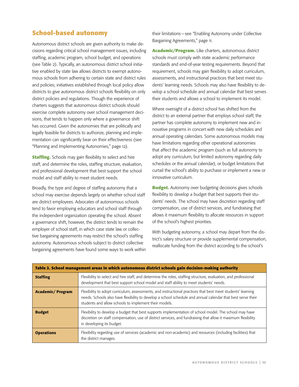### **School-based autonomy**

Autonomous district schools are given authority to make decisions regarding critical school management issues, including staffing, academic program, school budget, and operations (see Table 2). Typically, an autonomous district school initiative enabled by state law allows districts to exempt autonomous schools from adhering to certain state and district rules and policies; initiatives established through local policy allow districts to give autonomous district schools flexibility on only district policies and regulations. Though the experience of charters suggests that autonomous district schools should exercise complete autonomy over school management decisions, that tends to happen only where a governance shift has occurred. Given the autonomies that are politically and legally feasible for districts to authorize, planning and implementation can significantly bear on their effectiveness (see "Planning and Implementing Autonomies," page 12).

**Staffing.** Schools may gain flexibility to select and hire staff, and determine the roles, staffing structure, evaluation, and professional development that best support the school model and staff ability to meet student needs.

Broadly, the type and degree of staffing autonomy that a school may exercise depends largely on whether school staff are district employees. Advocates of autonomous schools tend to favor employing educators and school staff through the independent organization operating the school. Absent a governance shift, however, the district tends to remain the employer of school staff, in which case state law or collective bargaining agreements may restrict the school's staffing autonomy. Autonomous schools subject to district collective bargaining agreements have found some ways to work within their limitations—see "Enabling Autonomy under Collective Bargaining Agreements," page 11.

**Academic/Program.** Like charters, autonomous district schools must comply with state academic performance standards and end-of-year testing requirements. Beyond that requirement, schools may gain flexibility to adopt curriculum, assessments, and instructional practices that best meet students' learning needs. Schools may also have flexibility to develop a school schedule and annual calendar that best serves their students and allows a school to implement its model.

Where oversight of a district school has shifted from the district to an external partner that employs school staff, the partner has complete autonomy to implement new and innovative programs in concert with new daily schedules and annual operating calendars. Some autonomous models may have limitations regarding other operational autonomies that affect the academic program (such as full autonomy to adopt any curriculum, but limited autonomy regarding daily schedules or the annual calendar), or budget limitations that curtail the school's ability to purchase or implement a new or innovative curriculum.

**Budget.** Autonomy over budgeting decisions gives schools flexibility to develop a budget that best supports their students' needs. The school may have discretion regarding staff compensation, use of district services, and fundraising that allows it maximum flexibility to allocate resources in support of the school's highest priorities.

With budgeting autonomy, a school may depart from the district's salary structure or provide supplemental compensation, reallocate funding from the district according to the school's

| Table 2. School management areas in which autonomous district schools gain decision-making authority |                                                                                                                                                                                                                                                                                     |  |
|------------------------------------------------------------------------------------------------------|-------------------------------------------------------------------------------------------------------------------------------------------------------------------------------------------------------------------------------------------------------------------------------------|--|
| <b>Staffing</b>                                                                                      | Flexibility to select and hire staff, and determine the roles, staffing structure, evaluation, and professional<br>development that best support school model and staff ability to meet students' needs.                                                                            |  |
| <b>Academic/Program</b>                                                                              | Flexibility to adopt curriculum, assessments, and instructional practices that best meet students' learning<br>needs. Schools also have flexibility to develop a school schedule and annual calendar that best serve their<br>students and allow schools to implement their models. |  |
| <b>Budget</b>                                                                                        | Flexibility to develop a budget that best supports implementation of school model. The school may have<br>discretion on staff compensation, use of district services, and fundraising that allow it maximum flexibility<br>in developing its budget.                                |  |
| <b>Operations</b>                                                                                    | Flexibility regarding use of services (academic and non-academic) and resources (including facilities) that<br>the district manages.                                                                                                                                                |  |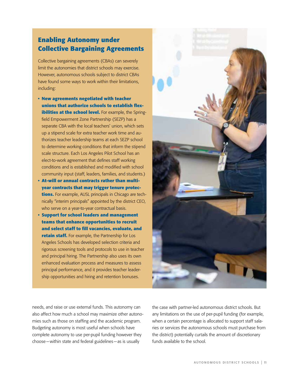## **Enabling Autonomy under Collective Bargaining Agreements**

Collective bargaining agreements (CBAs) can severely limit the autonomies that district schools may exercise. However, autonomous schools subject to district CBAs have found some ways to work within their limitations, including:

- **• New agreements negotiated with teacher unions that authorize schools to establish flexibilities at the school level.** For example, the Springfield Empowerment Zone Partnership (SEZP) has a separate CBA with the local teachers' union, which sets up a stipend scale for extra teacher work time and authorizes teacher leadership teams at each SEZP school to determine working conditions that inform the stipend scale structure. Each Los Angeles Pilot School has an elect-to-work agreement that defines staff working conditions and is established and modified with school community input (staff, leaders, families, and students.)
- **• At-will or annual contracts rather than multiyear contracts that may trigger tenure protections.** For example, AUSL principals in Chicago are technically "interim principals" appointed by the district CEO, who serve on a year-to-year contractual basis.
- **• Support for school leaders and management teams that enhance opportunities to recruit and select staff to fill vacancies, evaluate, and retain staff.** For example, the Partnership for Los Angeles Schools has developed selection criteria and rigorous screening tools and protocols to use in teacher and principal hiring. The Partnership also uses its own enhanced evaluation process and measures to assess principal performance, and it provides teacher leadership opportunities and hiring and retention bonuses.

needs, and raise or use external funds. This autonomy can also affect how much a school may maximize other autonomies such as those on staffing and the academic program. Budgeting autonomy is most useful when schools have complete autonomy to use per-pupil funding however they choose—within state and federal guidelines—as is usually

the case with partner-led autonomous district schools. But any limitations on the use of per-pupil funding (for example, when a certain percentage is allocated to support staff salaries or services the autonomous schools must purchase from the district) potentially curtails the amount of discretionary funds available to the school.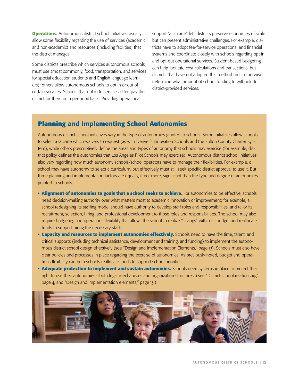**Operations.** Autonomous district school initiatives usually allow some flexibility regarding the use of services (academic and non-academic) and resources (including facilities) that the district manages.

Some districts prescribe which services autonomous schools must use (most commonly, food, transportation, and services for special education students and English language learners); others allow autonomous schools to opt in or out of certain services. Schools that opt in to services often pay the district for them on a per-pupil basis. Providing operational

support "a la carte" lets districts preserve economies of scale but can present administrative challenges. For example, districts have to adopt fee-for-service operational and financial systems and coordinate closely with schools regarding opt-in and opt-out operational services. Student-based budgeting can help facilitate cost calculations and transactions, but districts that have not adopted this method must otherwise determine what amount of school funding to withhold for district-provided services.

#### **Planning and Implementing School Autonomies**

Autonomous district school initiatives vary in the type of autonomies granted to schools. Some initiatives allow schools to select a la carte which waivers to request (as with Denver's Innovation Schools and the Fulton County Charter System), while others prescriptively define the areas and types of autonomy that schools may exercise (for example, district policy defines the autonomies that Los Angeles Pilot Schools may exercise). Autonomous district school initiatives also vary regarding how much autonomy schools/school operators have to manage their flexibilities. For example, a school may have autonomy to select a curriculum, but effectively must still seek specific district approval to use it. But three planning and implementation factors are equally, if not more, significant than the type and degree of autonomies granted to schools:

- **• Alignment of autonomies to goals that a school seeks to achieve.** For autonomies to be effective, schools need decision-making authority over what matters most to academic innovation or improvement; for example, a school redesigning its staffing model should have authority to develop staff roles and responsibilities, and tailor its recruitment, selection, hiring, and professional development to those roles and responsibilities. The school may also require budgeting and operations flexibility that allows the school to realize "savings" within its budget and reallocate funds to support hiring the necessary staff.
- **• Capacity and resources to implement autonomies effectively.** Schools need to have the time, talent, and critical supports (including technical assistance, development and training, and funding) to implement the autonomous district school design effectively (see "Design and Implementation Elements," page 13). Schools must also have clear policies and processes in place regarding the exercise of autonomies. As previously noted, budget and operations flexibility can help schools reallocate funds to support school priorities.
- **• Adequate protection to implement and sustain autonomies.** Schools need systems in place to protect their right to use their autonomies—both legal mechanisms and organization structures. (See "District-school relationship," page 4, and "Design and implementation elements," page 13.)

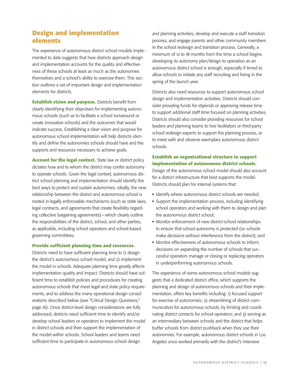#### **Design and implementation elements**

The experience of autonomous district school models implemented to date suggests that how districts approach design and implementation accounts for the quality and effectiveness of these schools at least as much as the autonomies themselves and a school's ability to exercise them. This section outlines a set of important design and implementation elements for districts.

**Establish vision and purpose.** Districts benefit from clearly identifying their objectives for implementing autonomous schools (such as to facilitate a school turnaround or create innovative schools) and the outcomes that would indicate success. Establishing a clear vision and purpose for autonomous school implementation will help districts identify and define the autonomies schools should have and the supports and resources necessary to achieve goals.

**Account for the legal context.** State law or district policy dictates how and to whom the district may confer autonomy to operate schools. Given the legal context, autonomous district school planning and implementation should identify the best ways to protect and sustain autonomies. Ideally, the new relationship between the district and autonomous school is rooted in legally enforceable mechanisms (such as state laws, legal contracts, and agreements that create flexibility regarding collective bargaining agreements)—which clearly outline the responsibilities of the district, school, and other parties, as applicable, including school operators and school-based governing committees.

#### **Provide sufficient planning time and resources.**

Districts need to have sufficient planning time to 1) design the district's autonomous school model, and 2) implement the model in schools. Adequate planning time greatly affects implementation quality and impact. Districts should have sufficient time to establish policies and procedures for creating autonomous schools that meet legal and state policy requirements, and to address the many operational design considerations described below (see "Critical Design Questions," page 16). Once district-level design considerations are fully addressed, districts need sufficient time to identify and/or develop school leaders or operators to implement the model in district schools and then support the implementation of the model within schools. School leaders and teams need sufficient time to participate in autonomous school design

and planning activities, develop and execute a staff transition process, and engage parents and other community members in the school redesign and transition process. Generally, a minimum of 12 to 18 months from the time a school begins developing its autonomy plan/design to operation as an autonomous district school is enough, especially if timed to allow schools to initiate any staff recruiting and hiring in the spring of the launch year.

Districts also need resources to support autonomous school design and implementation activities. Districts should consider providing funds for stipends or approving release time to support additional staff time focused on planning activities. Districts should also consider providing resources for school leaders and planning teams to hire facilitators or third-party school redesign experts to support the planning process, or to meet with and observe exemplary autonomous district schools.

#### **Establish an organizational structure to support implementation of autonomous district schools.**

Design of the autonomous school model should also account for a district infrastructure that best supports the model. Districts should plan for internal systems that:

- **•** Identify where autonomous district schools are needed;
- **•** Support the implementation process, including identifying school operators and working with them to design and plan the autonomous district school;
- **•** Monitor enforcement of new district-school relationships to ensure that school autonomy is protected (so schools make decisions without interference from the district); and
- **•** Monitor effectiveness of autonomous schools to inform decisions on expanding the number of schools that successful operators manage or closing or replacing operators in underperforming autonomous schools.

The experience of some autonomous school models suggests that a dedicated district office, which supports the planning and design of autonomous schools and their implementation, offers key benefits including: 1) focused support for exercise of autonomies; 2) streamlining of district communication for autonomous schools, by limiting and coordinating district contacts for school operators; and 3) serving as an intermediary between schools and the district that helps buffer schools from district pushback when they use their autonomies. For example, autonomous district schools in Los Angeles once worked primarily with the district's Intensive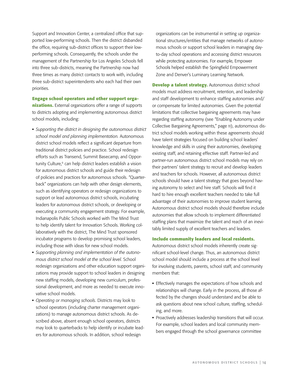Support and Innovation Center, a centralized office that supported low-performing schools. Then the district disbanded the office, requiring sub-district offices to support their lowperforming schools. Consequently, the schools under the management of the Partnership for Los Angeles Schools fell into three sub-districts, meaning the Partnership now had three times as many district contacts to work with, including three sub-district superintendents who each had their own priorities.

**Engage school operators and other support organizations.** External organizations offer a range of supports to districts adopting and implementing autonomous district school models, including:

- **•** *Supporting the district in designing the autonomous district school model and planning implementation.* Autonomous district school models reflect a significant departure from traditional district policies and practice. School redesign efforts such as Transend, Summit Basecamp, and Opportunity Culture,<sup>6</sup> can help district leaders establish a vision for autonomous district schools and guide their redesign of policies and practices for autonomous schools. "Quarterback" organizations can help with other design elements, such as identifying operators or redesign organizations to support or lead autonomous district schools, incubating leaders for autonomous district schools, or developing or executing a community engagement strategy. For example, Indianapolis Public Schools worked with The Mind Trust to help identify talent for Innovation Schools. Working collaboratively with the district, The Mind Trust sponsored incubator programs to develop promising school leaders, including those with ideas for new school models.
- **•** *Supporting planning and implementation of the autonomous district school model at the school level.* School redesign organizations and other education support organizations may provide support to school leaders in designing new staffing models, developing new curriculum, professional development, and more as needed to execute innovative school models.
- **•** *Operating or managing schools.* Districts may look to school operators (including charter management organizations) to manage autonomous district schools. As described above, absent enough school operators, districts may look to quarterbacks to help identify or incubate leaders for autonomous schools. In addition, school redesign

organizations can be instrumental in setting up organizational structures/entities that manage networks of autonomous schools or support school leaders in managing dayto-day school operations and accessing district resources while protecting autonomies. For example, Empower Schools helped establish the Springfield Empowerment Zone and Denver's Luminary Learning Network.

**Develop a talent strategy.** Autonomous district school models must address recruitment, retention, and leadership and staff development to enhance staffing autonomies and/ or compensate for limited autonomies. Given the potential limitations that collective bargaining agreements may have regarding staffing autonomy (see "Enabling Autonomy under Collective Bargaining Agreements," page 11), autonomous district school models working within these agreements should have talent strategies focused on building school leaders' knowledge and skills in using their autonomies, developing existing staff, and retaining effective staff. Partner-led and partner-run autonomous district school models may rely on their partners' talent strategy to recruit and develop leaders and teachers for schools. However, all autonomous district schools should have a talent strategy that goes beyond having autonomy to select and hire staff. Schools will find it hard to hire enough excellent teachers needed to take full advantage of their autonomies to improve student learning. Autonomous district school models should therefore include autonomies that allow schools to implement differentiated staffing plans that maximize the talent and reach of an inevitably limited supply of excellent teachers and leaders.

#### **Include community leaders and local residents.**

Autonomous district school models inherently create significant school-level change. Thus, an autonomous district school model should include a process at the school level for involving students, parents, school staff, and community members that:

- **•** Effectively manages the expectations of how schools and relationships will change. Early in the process, all those affected by the changes should understand and be able to ask questions about new school culture, staffing, scheduling, and more.
- **•** Proactively addresses leadership transitions that will occur. For example, school leaders and local community members engaged through the school governance committee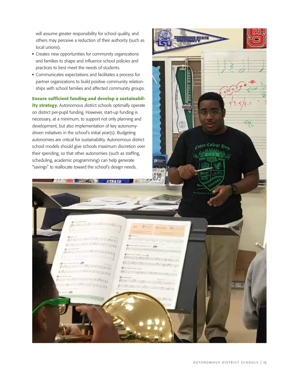will assume greater responsibility for school quality, and others may perceive a reduction of their authority (such as local unions).

- **•** Creates new opportunities for community organizations and families to shape and influence school policies and practices to best meet the needs of students.
- **•** Communicates expectations and facilitates a process for partner organizations to build positive community relationships with school families and affected community groups.

**Ensure sufficient funding and develop a sustainability strategy.** Autonomous district schools optimally operate on district per-pupil funding. However, start-up funding is necessary, at a minimum, to support not only planning and development, but also implementation of key autonomydriven initiatives in the school's initial year(s). Budgeting autonomies are critical for sustainability. Autonomous district school models should give schools maximum discretion over their spending, so that other autonomies (such as staffing, scheduling, academic programming) can help generate "savings" to reallocate toward the school's design needs.

**STANDARD AT** 

 $10 - 10000$ 

 $1911$ 

<sub>colie</sub>n College 33,

70

 $41.7$ 

autonomous district schools | 15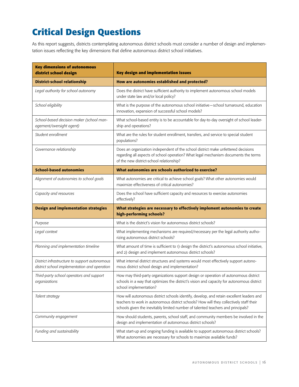# **Critical Design Questions**

As this report suggests, districts contemplating autonomous district schools must consider a number of design and implementation issues reflecting the key dimensions that define autonomous district school initiatives.

| <b>Key dimensions of autonomous</b><br>district school design                                 | <b>Key design and implementation issues</b>                                                                                                                                                                                                                             |
|-----------------------------------------------------------------------------------------------|-------------------------------------------------------------------------------------------------------------------------------------------------------------------------------------------------------------------------------------------------------------------------|
| <b>District-school relationship</b>                                                           | How are autonomies established and protected?                                                                                                                                                                                                                           |
| Legal authority for school autonomy                                                           | Does the district have sufficient authority to implement autonomous school models<br>under state law and/or local policy?                                                                                                                                               |
| School eligibility                                                                            | What is the purpose of the autonomous school initiative-school turnaround, education<br>innovation, expansion of successful school models?                                                                                                                              |
| School-based decision maker (school man-<br>agement/oversight agent)                          | What school-based entity is to be accountable for day-to-day oversight of school leader-<br>ship and operations?                                                                                                                                                        |
| Student enrollment                                                                            | What are the rules for student enrollment, transfers, and service to special student<br>populations?                                                                                                                                                                    |
| Governance relationship                                                                       | Does an organization independent of the school district make unfettered decisions<br>regarding all aspects of school operation? What legal mechanism documents the terms<br>of the new district-school relationship?                                                    |
| <b>School-based autonomies</b>                                                                | What autonomies are schools authorized to exercise?                                                                                                                                                                                                                     |
| Alignment of autonomies to school goals                                                       | What autonomies are critical to achieve school goals? What other autonomies would<br>maximize effectiveness of critical autonomies?                                                                                                                                     |
| Capacity and resources                                                                        | Does the school have sufficient capacity and resources to exercise autonomies<br>effectively?                                                                                                                                                                           |
| <b>Design and implementation strategies</b>                                                   | What strategies are necessary to effectively implement autonomies to create                                                                                                                                                                                             |
|                                                                                               | high-performing schools?                                                                                                                                                                                                                                                |
| Purpose                                                                                       | What is the district's vision for autonomous district schools?                                                                                                                                                                                                          |
| Legal context                                                                                 | What implementing mechanisms are required/necessary per the legal authority autho-<br>rizing autonomous district schools?                                                                                                                                               |
| Planning and implementation timeline                                                          | What amount of time is sufficient to 1) design the district's autonomous school initiative,<br>and 2) design and implement autonomous district schools?                                                                                                                 |
| District infrastructure to support autonomous<br>district school implementation and operation | What internal district structures and systems would most effectively support autono-<br>mous district school design and implementation?                                                                                                                                 |
| Third-party school operators and support<br>organizations                                     | How may third-party organizations support design or operation of autonomous district<br>schools in a way that optimizes the district's vision and capacity for autonomous district<br>school implementation?                                                            |
| Talent strategy                                                                               | How will autonomous district schools identify, develop, and retain excellent leaders and<br>teachers to work in autonomous district schools? How will they collectively staff their<br>schools given the inevitably limited number of talented teachers and principals? |
| Community engagement                                                                          | How should students, parents, school staff, and community members be involved in the<br>design and implementation of autonomous district schools?                                                                                                                       |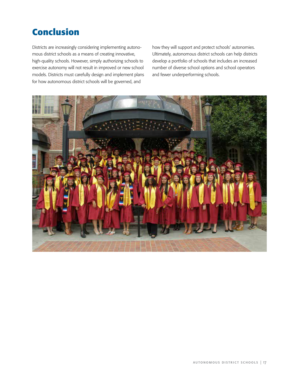# **Conclusion**

Districts are increasingly considering implementing autonomous district schools as a means of creating innovative, high-quality schools. However, simply authorizing schools to exercise autonomy will not result in improved or new school models. Districts must carefully design and implement plans for how autonomous district schools will be governed, and

how they will support and protect schools' autonomies. Ultimately, autonomous district schools can help districts develop a portfolio of schools that includes an increased number of diverse school options and school operators and fewer underperforming schools.